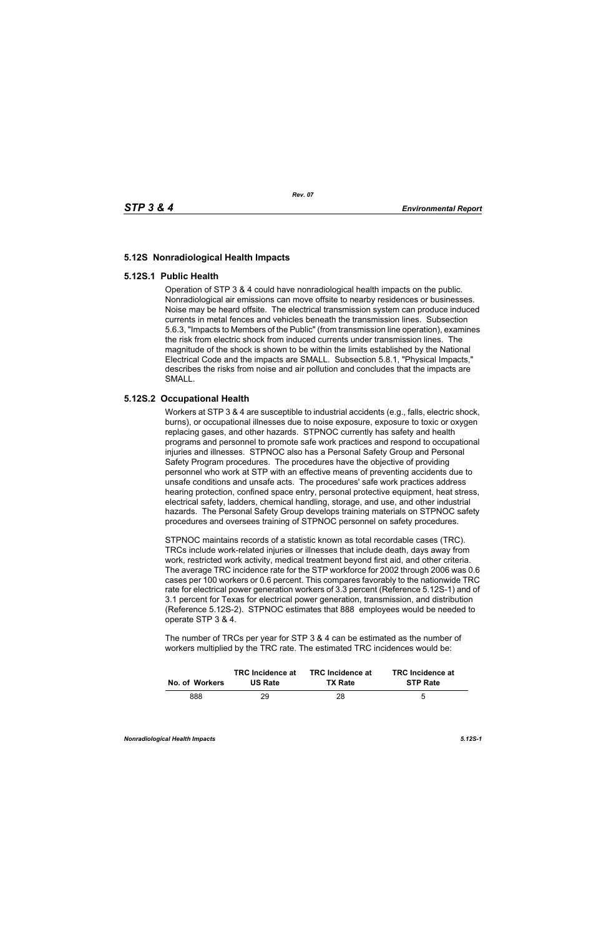## **5.12S Nonradiological Health Impacts**

## **5.12S.1 Public Health**

Operation of STP 3 & 4 could have nonradiological health impacts on the public. Nonradiological air emissions can move offsite to nearby residences or businesses. Noise may be heard offsite. The electrical transmission system can produce induced currents in metal fences and vehicles beneath the transmission lines. Subsection 5.6.3, "Impacts to Members of the Public" (from transmission line operation), examines the risk from electric shock from induced currents under transmission lines. The magnitude of the shock is shown to be within the limits established by the National Electrical Code and the impacts are SMALL. Subsection 5.8.1, "Physical Impacts," describes the risks from noise and air pollution and concludes that the impacts are SMALL.

## **5.12S.2 Occupational Health**

Workers at STP 3 & 4 are susceptible to industrial accidents (e.g., falls, electric shock, burns), or occupational illnesses due to noise exposure, exposure to toxic or oxygen replacing gases, and other hazards. STPNOC currently has safety and health programs and personnel to promote safe work practices and respond to occupational injuries and illnesses. STPNOC also has a Personal Safety Group and Personal Safety Program procedures. The procedures have the objective of providing personnel who work at STP with an effective means of preventing accidents due to unsafe conditions and unsafe acts. The procedures' safe work practices address hearing protection, confined space entry, personal protective equipment, heat stress, electrical safety, ladders, chemical handling, storage, and use, and other industrial hazards. The Personal Safety Group develops training materials on STPNOC safety procedures and oversees training of STPNOC personnel on safety procedures.

STPNOC maintains records of a statistic known as total recordable cases (TRC). TRCs include work-related injuries or illnesses that include death, days away from work, restricted work activity, medical treatment beyond first aid, and other criteria. The average TRC incidence rate for the STP workforce for 2002 through 2006 was 0.6 cases per 100 workers or 0.6 percent. This compares favorably to the nationwide TRC rate for electrical power generation workers of 3.3 percent (Reference 5.12S-1) and of 3.1 percent for Texas for electrical power generation, transmission, and distribution (Reference 5.12S-2). STPNOC estimates that 888 employees would be needed to operate STP 3 & 4.

The number of TRCs per year for STP 3 & 4 can be estimated as the number of workers multiplied by the TRC rate. The estimated TRC incidences would be:

| No. of Workers | <b>TRC</b> Incidence at | <b>TRC</b> Incidence at | <b>TRC</b> Incidence at |
|----------------|-------------------------|-------------------------|-------------------------|
|                | <b>US Rate</b>          | <b>TX Rate</b>          | <b>STP Rate</b>         |
| 888            | 29                      | 28                      | 5                       |